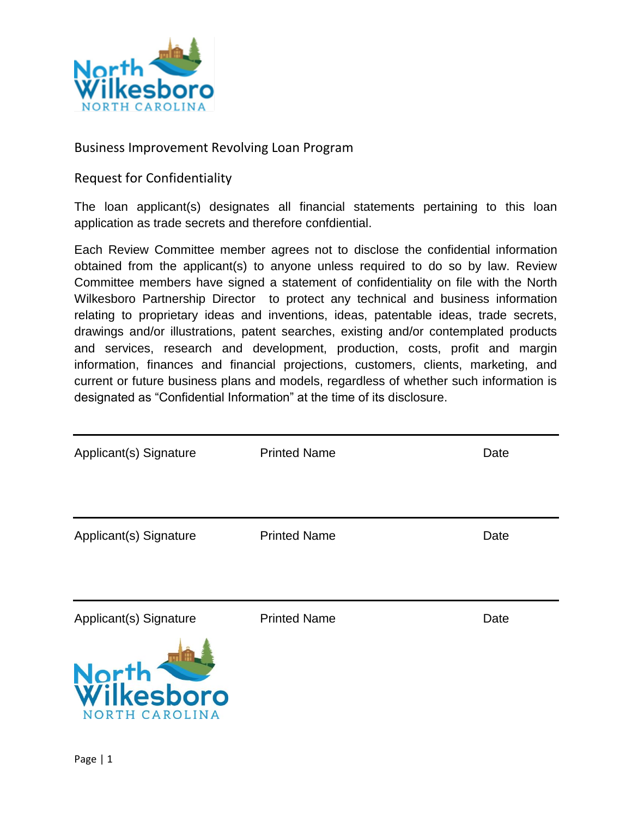

# Business Improvement Revolving Loan Program

# Request for Confidentiality

The loan applicant(s) designates all financial statements pertaining to this loan application as trade secrets and therefore confdiential.

Each Review Committee member agrees not to disclose the confidential information obtained from the applicant(s) to anyone unless required to do so by law. Review Committee members have signed a statement of confidentiality on file with the North Wilkesboro Partnership Director to protect any technical and business information relating to proprietary ideas and inventions, ideas, patentable ideas, trade secrets, drawings and/or illustrations, patent searches, existing and/or contemplated products and services, research and development, production, costs, profit and margin information, finances and financial projections, customers, clients, marketing, and current or future business plans and models, regardless of whether such information is designated as "Confidential Information" at the time of its disclosure.

| Applicant(s) Signature                | <b>Printed Name</b> | Date |
|---------------------------------------|---------------------|------|
| Applicant(s) Signature                | <b>Printed Name</b> | Date |
|                                       |                     |      |
| Applicant(s) Signature                | <b>Printed Name</b> | Date |
| North<br>Wilkesboro<br>NORTH CAROLINA |                     |      |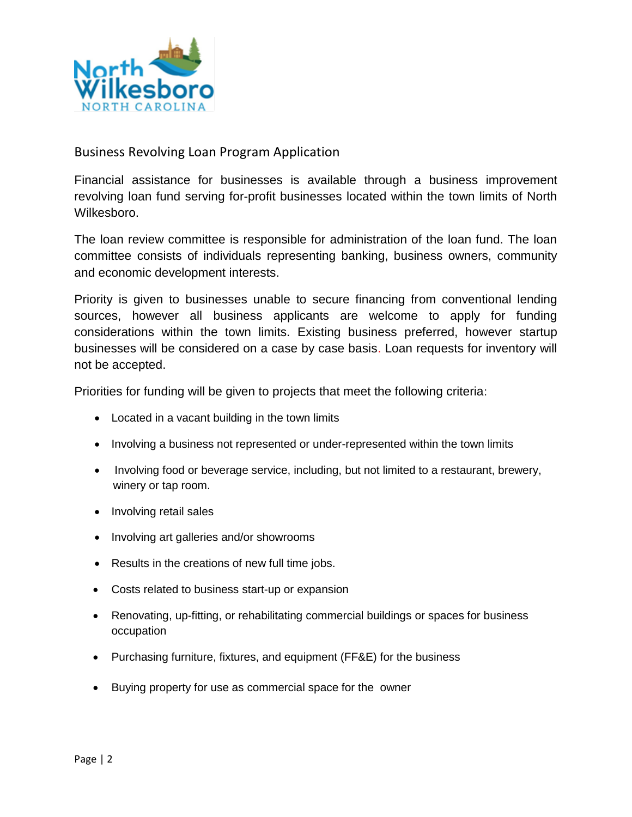

# Business Revolving Loan Program Application

Financial assistance for businesses is available through a business improvement revolving loan fund serving for-profit businesses located within the town limits of North Wilkesboro.

The loan review committee is responsible for administration of the loan fund. The loan committee consists of individuals representing banking, business owners, community and economic development interests.

Priority is given to businesses unable to secure financing from conventional lending sources, however all business applicants are welcome to apply for funding considerations within the town limits. Existing business preferred, however startup businesses will be considered on a case by case basis. Loan requests for inventory will not be accepted.

Priorities for funding will be given to projects that meet the following criteria:

- Located in a vacant building in the town limits
- Involving a business not represented or under-represented within the town limits
- Involving food or beverage service, including, but not limited to a restaurant, brewery, winery or tap room.
- Involving retail sales
- Involving art galleries and/or showrooms
- Results in the creations of new full time jobs.
- Costs related to business start-up or expansion
- Renovating, up-fitting, or rehabilitating commercial buildings or spaces for business occupation
- Purchasing furniture, fixtures, and equipment (FF&E) for the business
- Buying property for use as commercial space for the owner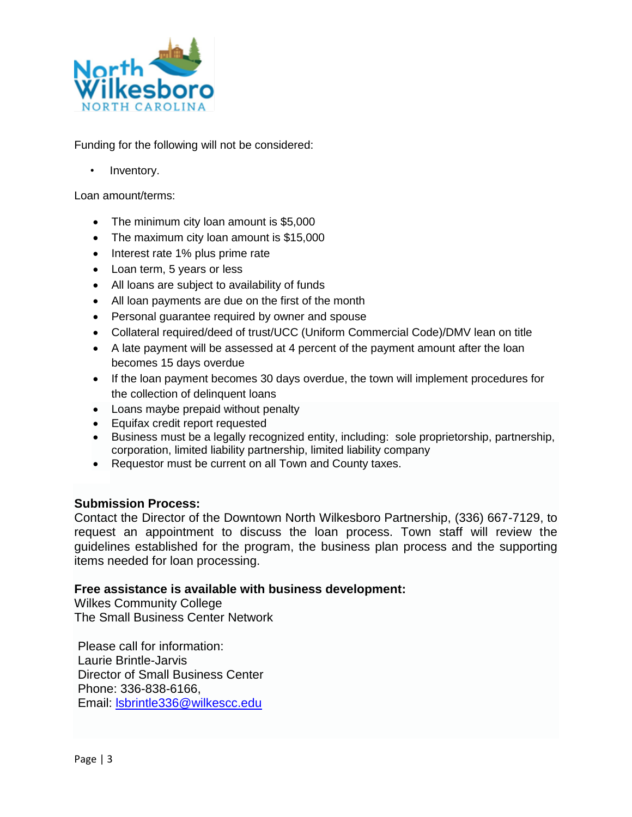

Funding for the following will not be considered:

Inventory.

Loan amount/terms:

- The minimum city loan amount is \$5,000
- The maximum city loan amount is \$15,000
- Interest rate 1% plus prime rate
- Loan term, 5 years or less
- All loans are subject to availability of funds
- All loan payments are due on the first of the month
- Personal guarantee required by owner and spouse
- Collateral required/deed of trust/UCC (Uniform Commercial Code)/DMV lean on title
- A late payment will be assessed at 4 percent of the payment amount after the loan becomes 15 days overdue
- If the loan payment becomes 30 days overdue, the town will implement procedures for the collection of delinquent loans
- Loans maybe prepaid without penalty
- Equifax credit report requested
- Business must be a legally recognized entity, including: sole proprietorship, partnership, corporation, limited liability partnership, limited liability company
- Requestor must be current on all Town and County taxes.

#### **Submission Process:**

Contact the Director of the Downtown North Wilkesboro Partnership, (336) 667-7129, to request an appointment to discuss the loan process. Town staff will review the guidelines established for the program, the business plan process and the supporting items needed for loan processing.

#### **Free assistance is available with business development:**

Wilkes Community College The Small Business Center Network

Please call for information: Laurie Brintle-Jarvis Director of Small Business Center Phone: 336-838-6166, Email: [lsbrintle336@wilkescc.edu](mailto:lsbrintle336@wilkescc.edu)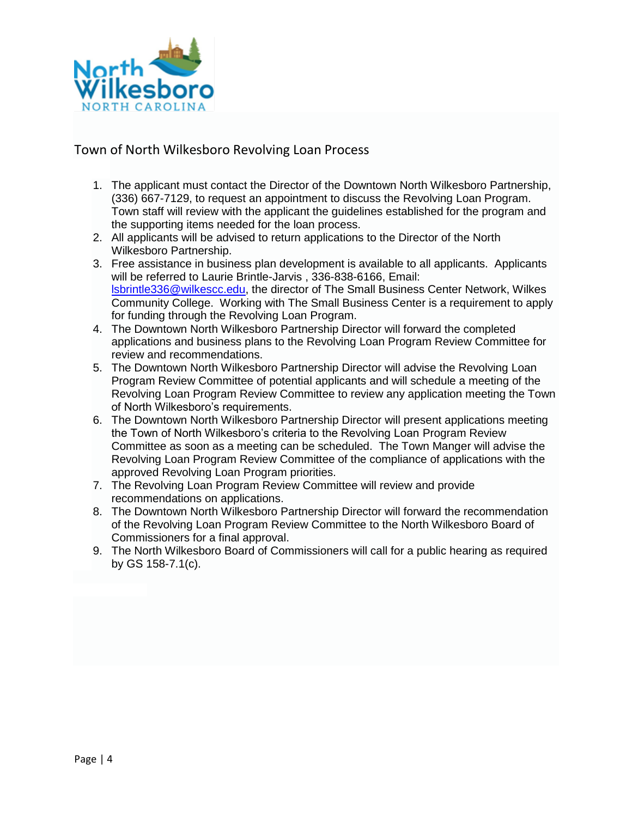

### Town of North Wilkesboro Revolving Loan Process

- 1. The applicant must contact the Director of the Downtown North Wilkesboro Partnership, (336) 667-7129, to request an appointment to discuss the Revolving Loan Program. Town staff will review with the applicant the guidelines established for the program and the supporting items needed for the loan process.
- 2. All applicants will be advised to return applications to the Director of the North Wilkesboro Partnership.
- 3. Free assistance in business plan development is available to all applicants. Applicants will be referred to Laurie Brintle-Jarvis , 336-838-6166, Email: [lsbrintle336@wilkescc.edu,](mailto:lsbrintle336@wilkescc.edu) the director of The Small Business Center Network, Wilkes Community College. Working with The Small Business Center is a requirement to apply for funding through the Revolving Loan Program.
- 4. The Downtown North Wilkesboro Partnership Director will forward the completed applications and business plans to the Revolving Loan Program Review Committee for review and recommendations.
- 5. The Downtown North Wilkesboro Partnership Director will advise the Revolving Loan Program Review Committee of potential applicants and will schedule a meeting of the Revolving Loan Program Review Committee to review any application meeting the Town of North Wilkesboro's requirements.
- 6. The Downtown North Wilkesboro Partnership Director will present applications meeting the Town of North Wilkesboro's criteria to the Revolving Loan Program Review Committee as soon as a meeting can be scheduled. The Town Manger will advise the Revolving Loan Program Review Committee of the compliance of applications with the approved Revolving Loan Program priorities.
- 7. The Revolving Loan Program Review Committee will review and provide recommendations on applications.
- 8. The Downtown North Wilkesboro Partnership Director will forward the recommendation of the Revolving Loan Program Review Committee to the North Wilkesboro Board of Commissioners for a final approval.
- 9. The North Wilkesboro Board of Commissioners will call for a public hearing as required by GS 158-7.1(c).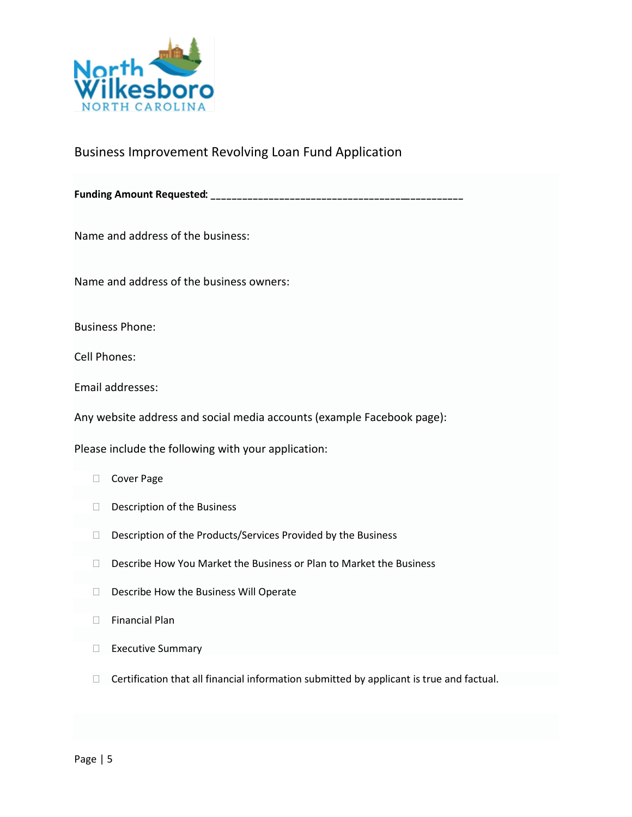

# Business Improvement Revolving Loan Fund Application

**Funding Amount Requested**

Name and address of the business:

Name and address of the business owners:

Business Phone:

Cell Phones:

Email addresses:

Any website address and social media accounts (example Facebook page):

Please include the following with your application:

- □ Cover Page
- D Description of the Business
- D Description of the Products/Services Provided by the Business
- $\Box$  Describe How You Market the Business or Plan to Market the Business
- D Describe How the Business Will Operate
- $\Box$  Financial Plan
- Executive Summary
- $\Box$  Certification that all financial information submitted by applicant is true and factual.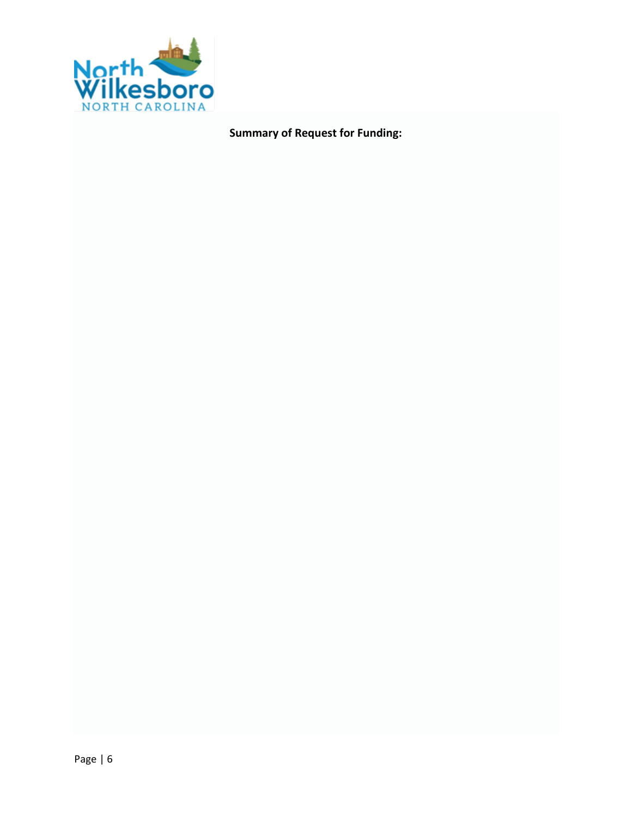

**Summary of Request for Funding:**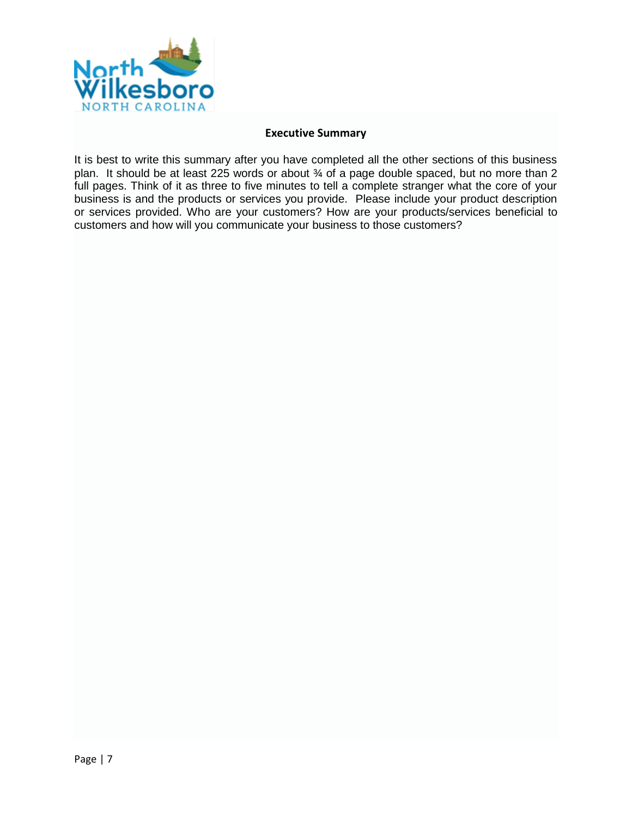

#### **Executive Summary**

It is best to write this summary after you have completed all the other sections of this business plan. It should be at least 225 words or about ¾ of a page double spaced, but no more than 2 full pages. Think of it as three to five minutes to tell a complete stranger what the core of your business is and the products or services you provide. Please include your product description or services provided. Who are your customers? How are your products/services beneficial to customers and how will you communicate your business to those customers?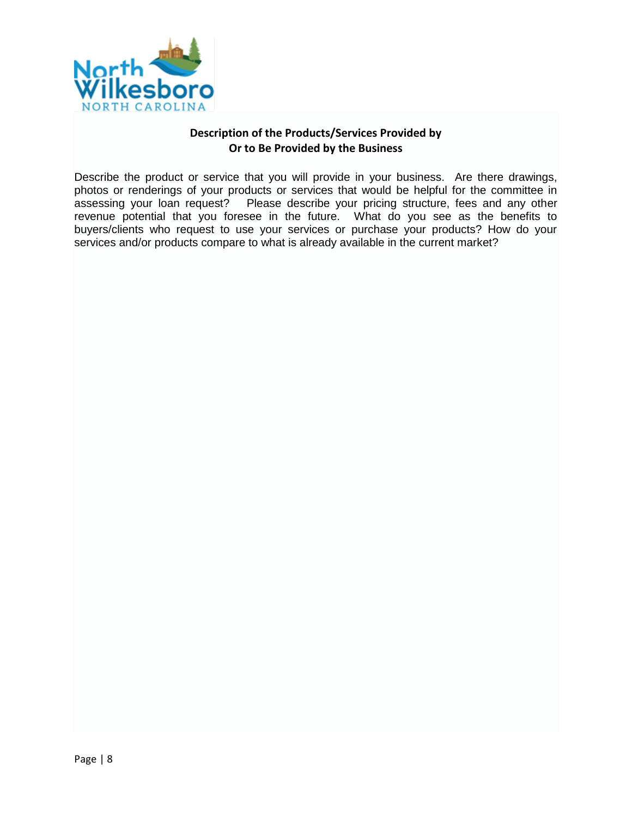

#### **Description of the Products/Services Provided by Or to Be Provided by the Business**

Describe the product or service that you will provide in your business. Are there drawings, photos or renderings of your products or services that would be helpful for the committee in assessing your loan request? Please describe your pricing structure, fees and any other revenue potential that you foresee in the future. What do you see as the benefits to buyers/clients who request to use your services or purchase your products? How do your services and/or products compare to what is already available in the current market?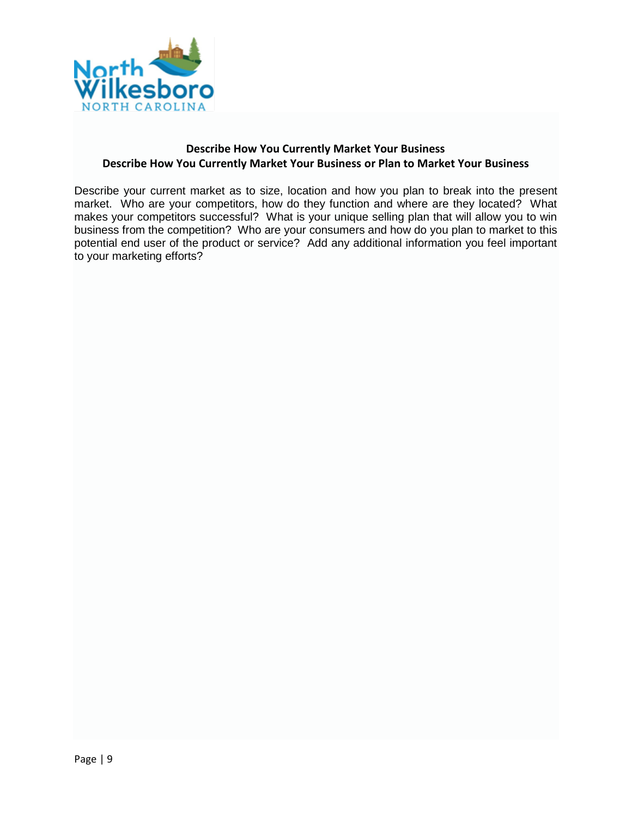

### **Describe How You Currently Market Your Business Describe How You Currently Market Your Business or Plan to Market Your Business**

Describe your current market as to size, location and how you plan to break into the present market. Who are your competitors, how do they function and where are they located? What makes your competitors successful? What is your unique selling plan that will allow you to win business from the competition? Who are your consumers and how do you plan to market to this potential end user of the product or service? Add any additional information you feel important to your marketing efforts?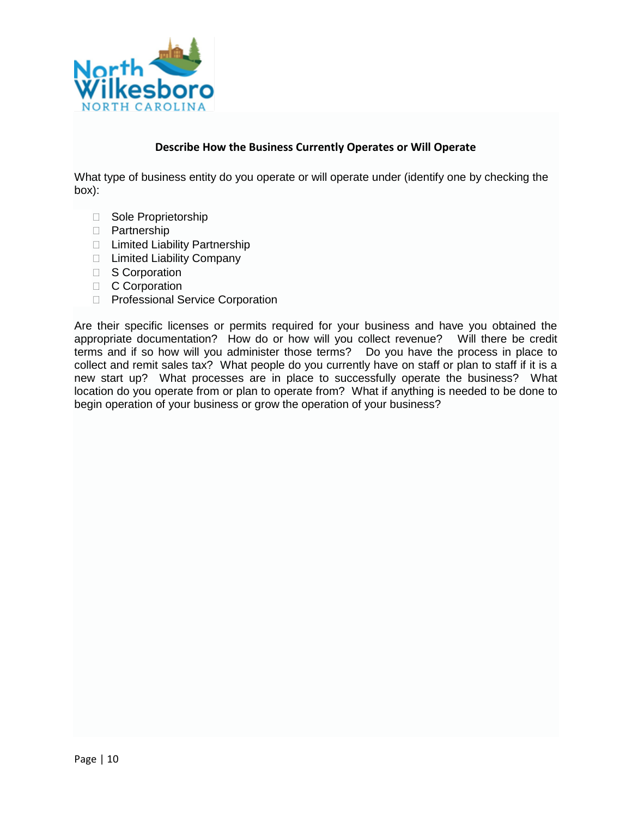

#### **Describe How the Business Currently Operates or Will Operate**

What type of business entity do you operate or will operate under (identify one by checking the box):

- □ Sole Proprietorship
- D Partnership
- □ Limited Liability Partnership
- □ Limited Liability Company
- S Corporation
- C Corporation
- D Professional Service Corporation

Are their specific licenses or permits required for your business and have you obtained the appropriate documentation? How do or how will you collect revenue? Will there be credit terms and if so how will you administer those terms? Do you have the process in place to collect and remit sales tax? What people do you currently have on staff or plan to staff if it is a new start up? What processes are in place to successfully operate the business? What location do you operate from or plan to operate from? What if anything is needed to be done to begin operation of your business or grow the operation of your business?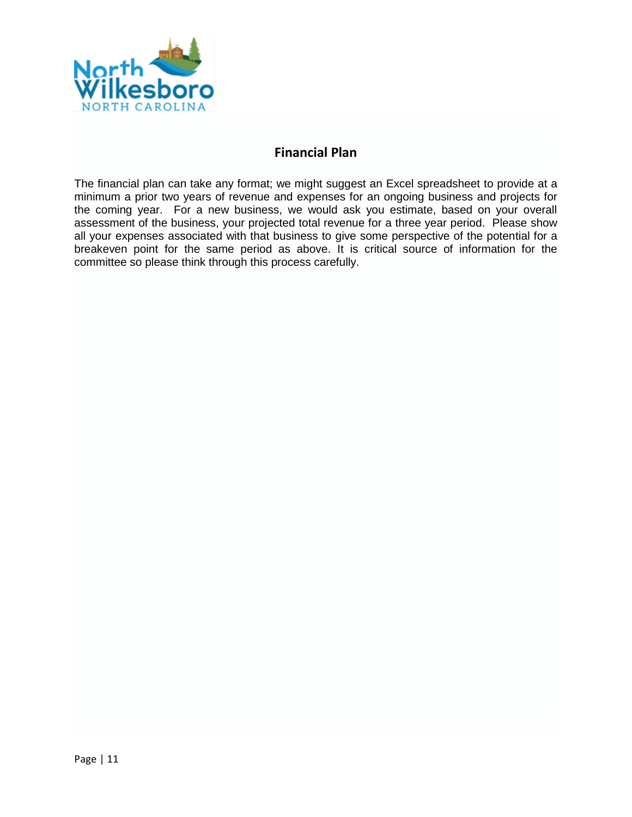

# **Financial Plan**

The financial plan can take any format; we might suggest an Excel spreadsheet to provide at a minimum a prior two years of revenue and expenses for an ongoing business and projects for the coming year. For a new business, we would ask you estimate, based on your overall assessment of the business, your projected total revenue for a three year period. Please show all your expenses associated with that business to give some perspective of the potential for a breakeven point for the same period as above. It is critical source of information for the committee so please think through this process carefully.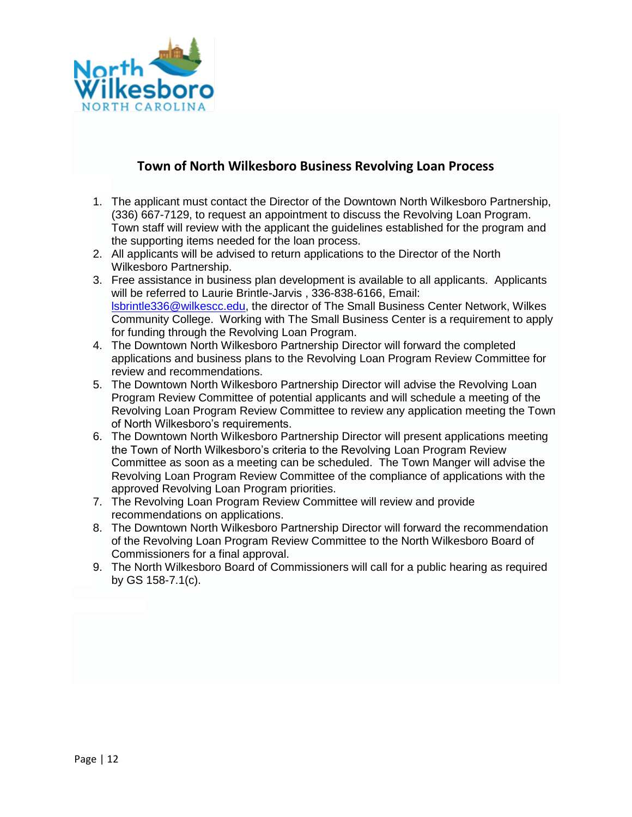

# **Town of North Wilkesboro Business Revolving Loan Process**

- 1. The applicant must contact the Director of the Downtown North Wilkesboro Partnership, (336) 667-7129, to request an appointment to discuss the Revolving Loan Program. Town staff will review with the applicant the guidelines established for the program and the supporting items needed for the loan process.
- 2. All applicants will be advised to return applications to the Director of the North Wilkesboro Partnership.
- 3. Free assistance in business plan development is available to all applicants. Applicants will be referred to Laurie Brintle-Jarvis , 336-838-6166, Email: [lsbrintle336@wilkescc.edu,](mailto:lsbrintle336@wilkescc.edu) the director of The Small Business Center Network, Wilkes Community College. Working with The Small Business Center is a requirement to apply for funding through the Revolving Loan Program.
- 4. The Downtown North Wilkesboro Partnership Director will forward the completed applications and business plans to the Revolving Loan Program Review Committee for review and recommendations.
- 5. The Downtown North Wilkesboro Partnership Director will advise the Revolving Loan Program Review Committee of potential applicants and will schedule a meeting of the Revolving Loan Program Review Committee to review any application meeting the Town of North Wilkesboro's requirements.
- 6. The Downtown North Wilkesboro Partnership Director will present applications meeting the Town of North Wilkesboro's criteria to the Revolving Loan Program Review Committee as soon as a meeting can be scheduled. The Town Manger will advise the Revolving Loan Program Review Committee of the compliance of applications with the approved Revolving Loan Program priorities.
- 7. The Revolving Loan Program Review Committee will review and provide recommendations on applications.
- 8. The Downtown North Wilkesboro Partnership Director will forward the recommendation of the Revolving Loan Program Review Committee to the North Wilkesboro Board of Commissioners for a final approval.
- 9. The North Wilkesboro Board of Commissioners will call for a public hearing as required by GS 158-7.1(c).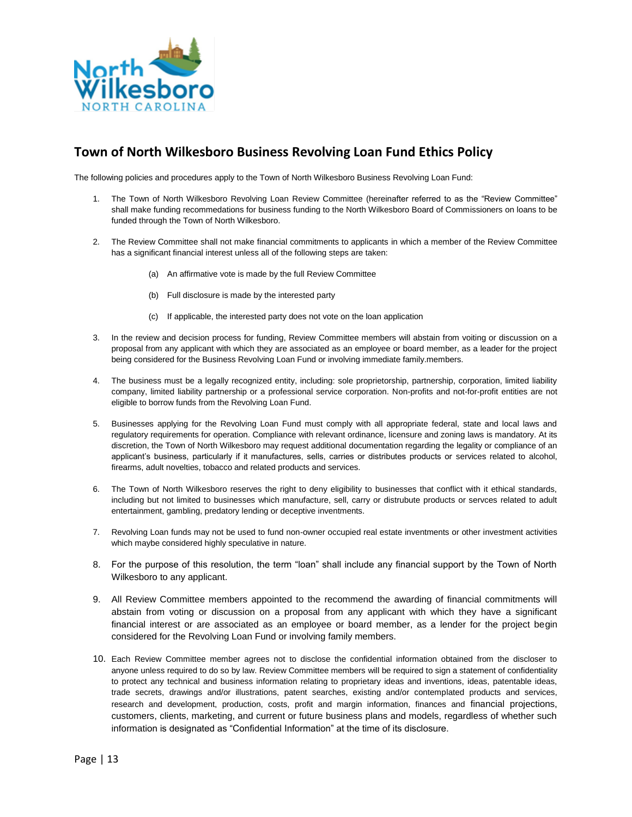

# **Town of North Wilkesboro Business Revolving Loan Fund Ethics Policy**

The following policies and procedures apply to the Town of North Wilkesboro Business Revolving Loan Fund:

- 1. The Town of North Wilkesboro Revolving Loan Review Committee (hereinafter referred to as the "Review Committee" shall make funding recommedations for business funding to the North Wilkesboro Board of Commissioners on loans to be funded through the Town of North Wilkesboro.
- 2. The Review Committee shall not make financial commitments to applicants in which a member of the Review Committee has a significant financial interest unless all of the following steps are taken:
	- (a) An affirmative vote is made by the full Review Committee
	- (b) Full disclosure is made by the interested party
	- (c) If applicable, the interested party does not vote on the loan application
- 3. In the review and decision process for funding, Review Committee members will abstain from voiting or discussion on a proposal from any applicant with which they are associated as an employee or board member, as a leader for the project being considered for the Business Revolving Loan Fund or involving immediate family.members.
- 4. The business must be a legally recognized entity, including: sole proprietorship, partnership, corporation, limited liability company, limited liability partnership or a professional service corporation. Non-profits and not-for-profit entities are not eligible to borrow funds from the Revolving Loan Fund.
- 5. Businesses applying for the Revolving Loan Fund must comply with all appropriate federal, state and local laws and regulatory requirements for operation. Compliance with relevant ordinance, licensure and zoning laws is mandatory. At its discretion, the Town of North Wilkesboro may request additional documentation regarding the legality or compliance of an applicant's business, particularly if it manufactures, sells, carries or distributes products or services related to alcohol, firearms, adult novelties, tobacco and related products and services.
- 6. The Town of North Wilkesboro reserves the right to deny eligibility to businesses that conflict with it ethical standards, including but not limited to businesses which manufacture, sell, carry or distrubute products or servces related to adult entertainment, gambling, predatory lending or deceptive inventments.
- 7. Revolving Loan funds may not be used to fund non-owner occupied real estate inventments or other investment activities which maybe considered highly speculative in nature.
- 8. For the purpose of this resolution, the term "loan" shall include any financial support by the Town of North Wilkesboro to any applicant.
- 9. All Review Committee members appointed to the recommend the awarding of financial commitments will abstain from voting or discussion on a proposal from any applicant with which they have a significant financial interest or are associated as an employee or board member, as a lender for the project begin considered for the Revolving Loan Fund or involving family members.
- 10. Each Review Committee member agrees not to disclose the confidential information obtained from the discloser to anyone unless required to do so by law. Review Committee members will be required to sign a statement of confidentiality to protect any technical and business information relating to proprietary ideas and inventions, ideas, patentable ideas, trade secrets, drawings and/or illustrations, patent searches, existing and/or contemplated products and services, research and development, production, costs, profit and margin information, finances and financial projections, customers, clients, marketing, and current or future business plans and models, regardless of whether such information is designated as "Confidential Information" at the time of its disclosure.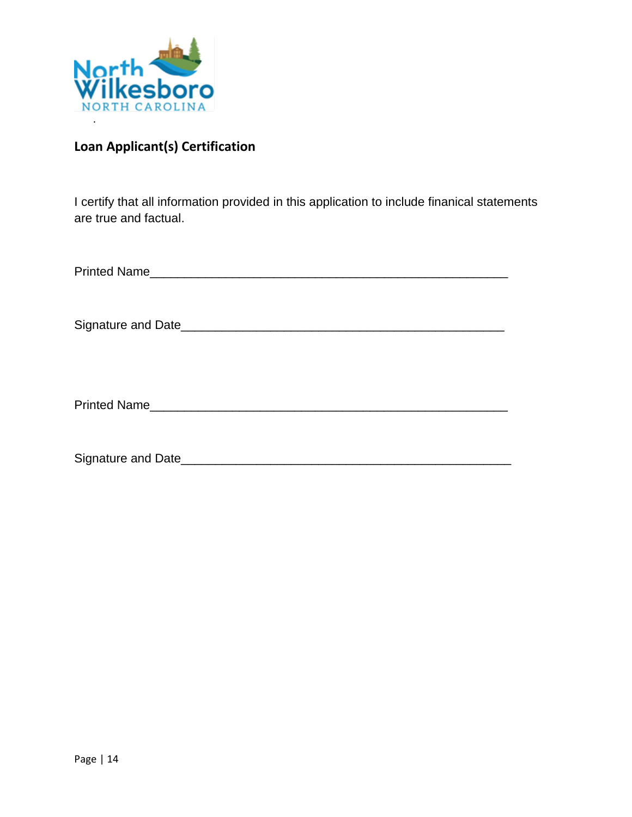

# **Loan Applicant(s) Certification**

I certify that all information provided in this application to include finanical statements are true and factual.

| <b>Printed Name</b> |
|---------------------|
|---------------------|

Signature and Date\_\_\_\_\_\_\_\_\_\_\_\_\_\_\_\_\_\_\_\_\_\_\_\_\_\_\_\_\_\_\_\_\_\_\_\_\_\_\_\_\_\_\_\_\_\_\_

Printed Name\_\_\_\_\_\_\_\_\_\_\_\_\_\_\_\_\_\_\_\_\_\_\_\_\_\_\_\_\_\_\_\_\_\_\_\_\_\_\_\_\_\_\_\_\_\_\_\_\_\_\_\_

Signature and Date\_\_\_\_\_\_\_\_\_\_\_\_\_\_\_\_\_\_\_\_\_\_\_\_\_\_\_\_\_\_\_\_\_\_\_\_\_\_\_\_\_\_\_\_\_\_\_\_